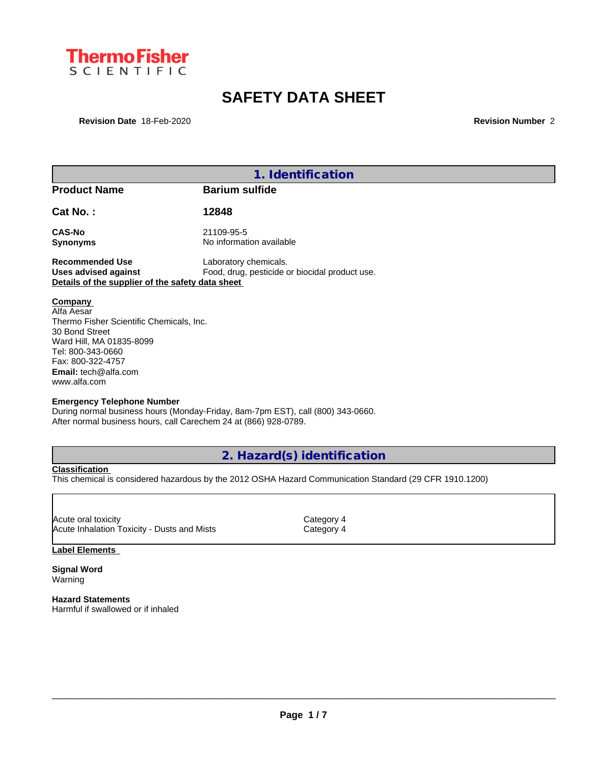

# **SAFETY DATA SHEET**

**Revision Date** 18-Feb-2020 **Revision Number** 2

| 1. Identification                                                                                                                                                                                                                             |                                                                                                                                                             |  |  |  |
|-----------------------------------------------------------------------------------------------------------------------------------------------------------------------------------------------------------------------------------------------|-------------------------------------------------------------------------------------------------------------------------------------------------------------|--|--|--|
| <b>Product Name</b>                                                                                                                                                                                                                           | <b>Barium sulfide</b>                                                                                                                                       |  |  |  |
| Cat No.:                                                                                                                                                                                                                                      | 12848                                                                                                                                                       |  |  |  |
| <b>CAS-No</b><br><b>Synonyms</b>                                                                                                                                                                                                              | 21109-95-5<br>No information available                                                                                                                      |  |  |  |
| <b>Recommended Use</b><br><b>Uses advised against</b><br>Details of the supplier of the safety data sheet                                                                                                                                     | Laboratory chemicals.<br>Food, drug, pesticide or biocidal product use.                                                                                     |  |  |  |
| Company<br>Alfa Aesar<br>Thermo Fisher Scientific Chemicals, Inc.<br>30 Bond Street<br>Ward Hill, MA 01835-8099<br>Tel: 800-343-0660<br>Fax: 800-322-4757<br><b>Email:</b> tech@alfa.com<br>www.alfa.com<br><b>Emergency Telephone Number</b> | During normal business hours (Monday-Friday, 8am-7pm EST), call (800) 343-0660.                                                                             |  |  |  |
| After normal business hours, call Carechem 24 at (866) 928-0789.                                                                                                                                                                              |                                                                                                                                                             |  |  |  |
|                                                                                                                                                                                                                                               | $\bigcap$ $\bigcup_{\alpha=1}$ $\bigcap_{\alpha=1}^{n}$ $\bigcap_{\alpha=1}^{n}$ $\bigcap_{\alpha=1}^{n}$ $\bigcap_{\alpha=1}^{n}$ $\bigcap_{\alpha=1}^{n}$ |  |  |  |

## **2. Hazard(s) identification**

**Classification** This chemical is considered hazardous by the 2012 OSHA Hazard Communication Standard (29 CFR 1910.1200)

Acute oral toxicity<br>
Acute Inhalation Toxicity - Dusts and Mists Category 4 Acute Inhalation Toxicity - Dusts and Mists

## **Label Elements**

**Signal Word** Warning

**Hazard Statements** Harmful if swallowed or if inhaled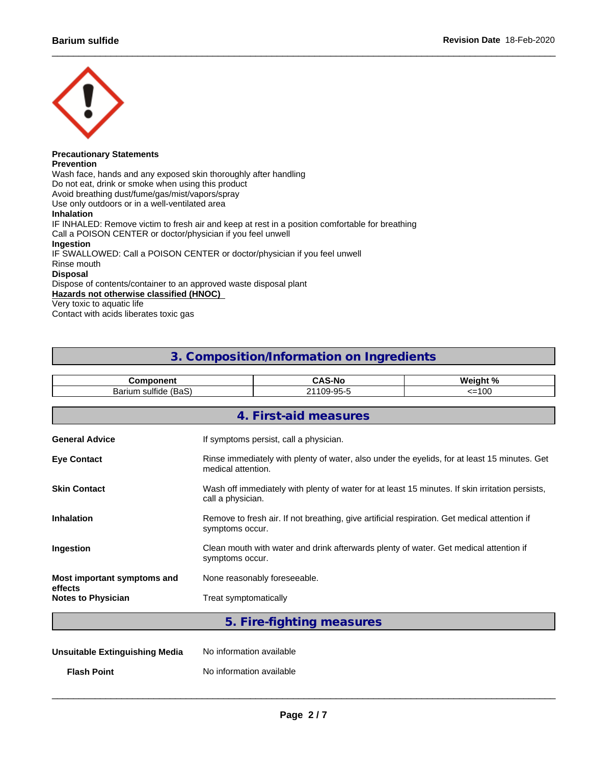

#### **Precautionary Statements Prevention**

Wash face, hands and any exposed skin thoroughly after handling Do not eat, drink or smoke when using this product Avoid breathing dust/fume/gas/mist/vapors/spray Use only outdoors or in a well-ventilated area **Inhalation** IF INHALED: Remove victim to fresh air and keep at rest in a position comfortable for breathing Call a POISON CENTER or doctor/physician if you feel unwell **Ingestion** IF SWALLOWED: Call a POISON CENTER or doctor/physician if you feel unwell Rinse mouth **Disposal** Dispose of contents/container to an approved waste disposal plant **Hazards not otherwise classified (HNOC)**

Very toxic to aquatic life Contact with acids liberates toxic gas

## **3. Composition/Information on Ingredients**

| <b>Component</b>                       |                          | <b>CAS-No</b>                                                                                                        | Weight % |  |  |
|----------------------------------------|--------------------------|----------------------------------------------------------------------------------------------------------------------|----------|--|--|
| Barium sulfide (BaS)<br>21109-95-5     |                          |                                                                                                                      | $=100$   |  |  |
|                                        |                          | 4. First-aid measures                                                                                                |          |  |  |
| <b>General Advice</b>                  |                          | If symptoms persist, call a physician.                                                                               |          |  |  |
| <b>Eye Contact</b>                     |                          | Rinse immediately with plenty of water, also under the eyelids, for at least 15 minutes. Get<br>medical attention.   |          |  |  |
| <b>Skin Contact</b>                    |                          | Wash off immediately with plenty of water for at least 15 minutes. If skin irritation persists,<br>call a physician. |          |  |  |
| <b>Inhalation</b>                      |                          | Remove to fresh air. If not breathing, give artificial respiration. Get medical attention if<br>symptoms occur.      |          |  |  |
| Ingestion                              |                          | Clean mouth with water and drink afterwards plenty of water. Get medical attention if<br>symptoms occur.             |          |  |  |
| Most important symptoms and<br>effects |                          | None reasonably foreseeable.                                                                                         |          |  |  |
| <b>Notes to Physician</b>              | Treat symptomatically    |                                                                                                                      |          |  |  |
|                                        |                          | 5. Fire-fighting measures                                                                                            |          |  |  |
| <b>Unsuitable Extinguishing Media</b>  | No information available |                                                                                                                      |          |  |  |

**Flash Point** No information available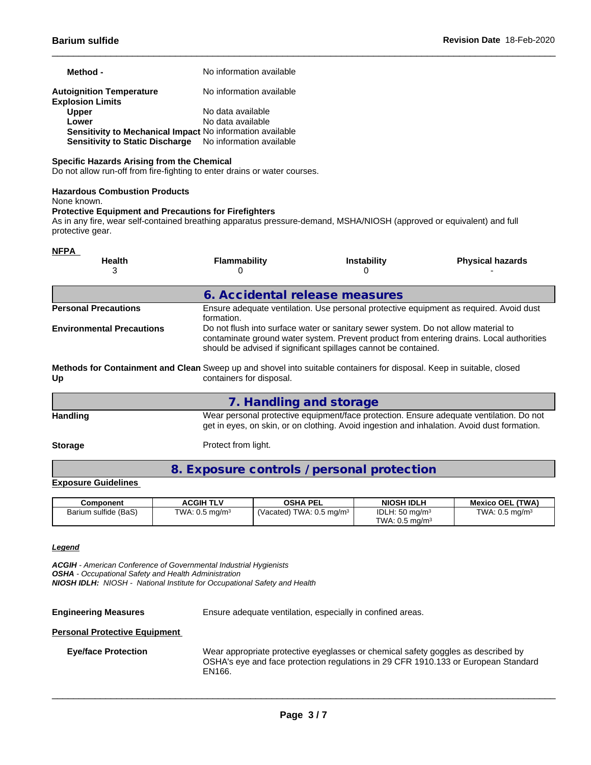| Method -                                                         | No information available |
|------------------------------------------------------------------|--------------------------|
| <b>Autoignition Temperature</b><br><b>Explosion Limits</b>       | No information available |
| <b>Upper</b>                                                     | No data available        |
| Lower                                                            | No data available        |
| <b>Sensitivity to Mechanical Impact No information available</b> |                          |
| Sensitivity to Static Discharge No information available         |                          |

## **Specific Hazards Arising from the Chemical**

Do not allow run-off from fire-fighting to enter drains or water courses.

#### **Hazardous Combustion Products**

None known.

#### **Protective Equipment and Precautions for Firefighters**

As in any fire, wear self-contained breathing apparatus pressure-demand, MSHA/NIOSH (approved or equivalent) and full protective gear.

| <b>NFPA</b>                      |                                                                                                                                                   |                                                                                                                                                                                                                                                   |                                                                                                                                                                                        |  |  |  |
|----------------------------------|---------------------------------------------------------------------------------------------------------------------------------------------------|---------------------------------------------------------------------------------------------------------------------------------------------------------------------------------------------------------------------------------------------------|----------------------------------------------------------------------------------------------------------------------------------------------------------------------------------------|--|--|--|
| <b>Health</b><br>3               | <b>Flammability</b><br>O                                                                                                                          | <b>Instability</b>                                                                                                                                                                                                                                | <b>Physical hazards</b>                                                                                                                                                                |  |  |  |
|                                  |                                                                                                                                                   |                                                                                                                                                                                                                                                   |                                                                                                                                                                                        |  |  |  |
|                                  | 6. Accidental release measures                                                                                                                    |                                                                                                                                                                                                                                                   |                                                                                                                                                                                        |  |  |  |
| <b>Personal Precautions</b>      | formation.                                                                                                                                        |                                                                                                                                                                                                                                                   | Ensure adequate ventilation. Use personal protective equipment as required. Avoid dust                                                                                                 |  |  |  |
| <b>Environmental Precautions</b> |                                                                                                                                                   | Do not flush into surface water or sanitary sewer system. Do not allow material to<br>contaminate ground water system. Prevent product from entering drains. Local authorities<br>should be advised if significant spillages cannot be contained. |                                                                                                                                                                                        |  |  |  |
| Up                               | Methods for Containment and Clean Sweep up and shovel into suitable containers for disposal. Keep in suitable, closed<br>containers for disposal. |                                                                                                                                                                                                                                                   |                                                                                                                                                                                        |  |  |  |
|                                  | 7. Handling and storage                                                                                                                           |                                                                                                                                                                                                                                                   |                                                                                                                                                                                        |  |  |  |
| Handling                         |                                                                                                                                                   |                                                                                                                                                                                                                                                   | Wear personal protective equipment/face protection. Ensure adequate ventilation. Do not<br>get in eyes, on skin, or on clothing. Avoid ingestion and inhalation. Avoid dust formation. |  |  |  |

**Storage** Protect from light.

**8. Exposure controls / personal protection**

## **Exposure Guidelines**

| Component            | <b>ACGIH TLV</b>             | OSHA PEL                            | <b>NIOSH IDLH</b>                                      | <b>Mexico OEL (TWA)</b>      |
|----------------------|------------------------------|-------------------------------------|--------------------------------------------------------|------------------------------|
| Barium sulfide (BaS) | TWA: $0.5$ mg/m <sup>3</sup> | (Vacated) TWA: $0.5 \text{ mg/m}^3$ | IDLH: $50 \text{ mg/m}^3$<br>TWA: $0.5 \text{ mg/m}^3$ | TWA: $0.5$ mg/m <sup>3</sup> |

## *Legend*

*ACGIH - American Conference of Governmental Industrial Hygienists OSHA - Occupational Safety and Health Administration*

*NIOSH IDLH: NIOSH - National Institute for Occupational Safety and Health*

**Engineering Measures** Ensure adequate ventilation, especially in confined areas.

### **Personal Protective Equipment**

**Eye/face Protection**

Wear appropriate protective eyeglasses or chemical safety goggles as described by OSHA's eye and face protection regulations in 29 CFR 1910.133 or European Standard EN166.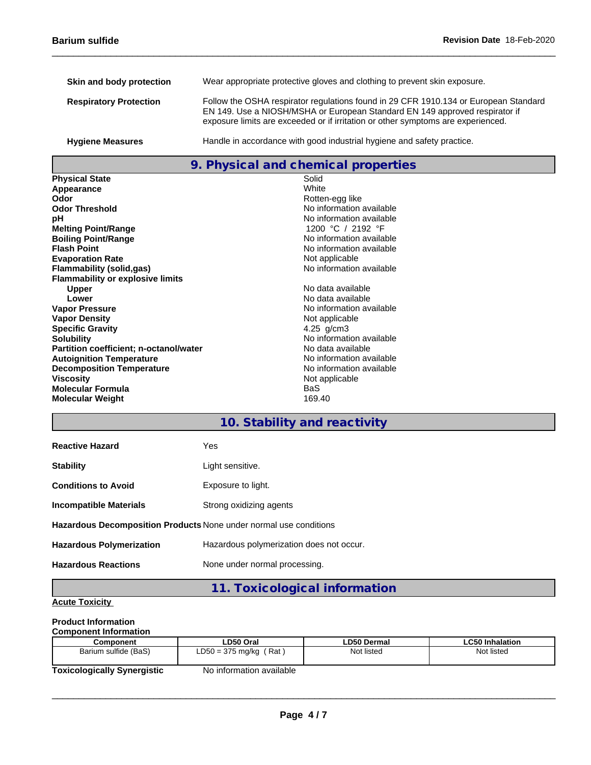| Skin and body protection      | Wear appropriate protective gloves and clothing to prevent skin exposure.                                                                                                                                                                               |
|-------------------------------|---------------------------------------------------------------------------------------------------------------------------------------------------------------------------------------------------------------------------------------------------------|
| <b>Respiratory Protection</b> | Follow the OSHA respirator regulations found in 29 CFR 1910.134 or European Standard<br>EN 149. Use a NIOSH/MSHA or European Standard EN 149 approved respirator if<br>exposure limits are exceeded or if irritation or other symptoms are experienced. |
| <b>Hygiene Measures</b>       | Handle in accordance with good industrial hygiene and safety practice.                                                                                                                                                                                  |

## **9. Physical and chemical properties**

**Physical State** Solid<br> **Appearance** White White **Appearance Odor** Rotten-egg like **Odor Threshold**<br> **PH**<br>
No information available<br>
No information available **Melting Point/Range** 1200 °C / 2192 °F<br> **Boiling Point/Range** 1200 **COMPONE 1200 PM** information available **Boiling Point/Range**<br>**Flash Point Evaporation Rate**<br> **Elammability (solid.gas)**<br> **Elammability (solid.gas) Flammability** (solid,gas) **Flammability or explosive limits Upper Contract Contract Contract Contract Contract Contract Contract Contract Contract Contract Contract Contra<br>
No data available Vapor Pressure** No information available No information available **Vapor Density**<br> **Specific Gravity**<br> **Specific Gravity**<br> **Specific Specific Specific Algebra Specific Gravity Solubility**<br> **Partition coefficient: n-octanol/water**<br> **No data available**<br>
No data available **Partition coefficient; n-octanol/water** No data available<br> **Autoignition Temperature** Noinformation available **Autoignition Temperature**<br> **Decomposition Temperature Composition Temperature**<br>
No information available **Decomposition Temperature**<br>Viscosity **Molecular Formula** BaS **Molecular Weight** 

No information available<br>1200 °C / 2192 °F No information available<br>Not applicable No data available

## **10. Stability and reactivity**

Not applicable<br>BaS

| <b>Reactive Hazard</b>                                            | Yes                                      |
|-------------------------------------------------------------------|------------------------------------------|
| <b>Stability</b>                                                  | Light sensitive.                         |
| <b>Conditions to Avoid</b>                                        | Exposure to light.                       |
| <b>Incompatible Materials</b>                                     | Strong oxidizing agents                  |
| Hazardous Decomposition Products None under normal use conditions |                                          |
| <b>Hazardous Polymerization</b>                                   | Hazardous polymerization does not occur. |
| <b>Hazardous Reactions</b>                                        | None under normal processing.            |

**11. Toxicological information**

## **Acute Toxicity**

## **Product Information**

| <b>Component Information</b> |                           |                    |                 |
|------------------------------|---------------------------|--------------------|-----------------|
| Component                    | LD50 Oral                 | <b>LD50 Dermal</b> | ∟C50 Inhalation |
| Barium sulfide (BaS)         | ˈ Rat<br>LD50 = 375 mg/kg | Not listed         | Not listed      |
| Taviaslasisellu Cusarsistia  | No information quailable  |                    |                 |

**Toxicologically Synergistic** No information available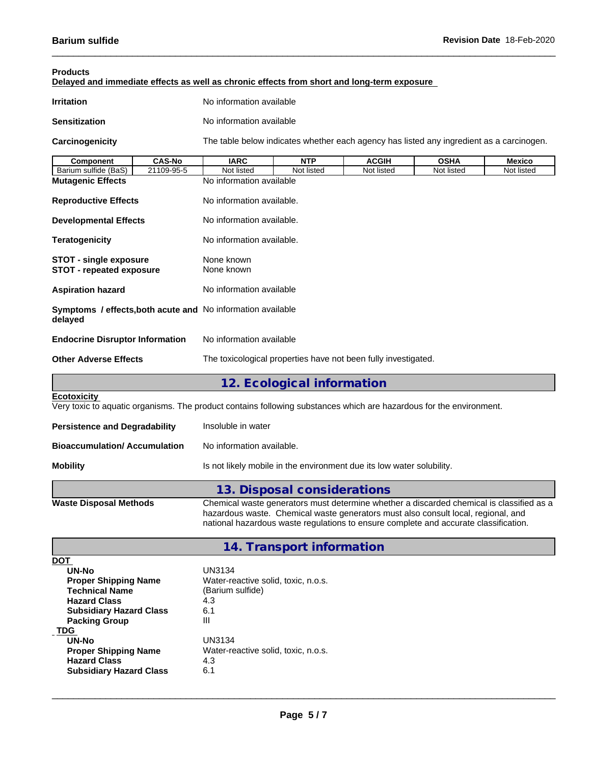| <b>Products</b><br>Delayed and immediate effects as well as chronic effects from short and long-term exposure                             |               |                           |                                                                                                                                                                                                                                                                       |              |             |               |  |
|-------------------------------------------------------------------------------------------------------------------------------------------|---------------|---------------------------|-----------------------------------------------------------------------------------------------------------------------------------------------------------------------------------------------------------------------------------------------------------------------|--------------|-------------|---------------|--|
| <b>Irritation</b>                                                                                                                         |               | No information available  |                                                                                                                                                                                                                                                                       |              |             |               |  |
| <b>Sensitization</b>                                                                                                                      |               | No information available  |                                                                                                                                                                                                                                                                       |              |             |               |  |
| Carcinogenicity                                                                                                                           |               |                           | The table below indicates whether each agency has listed any ingredient as a carcinogen.                                                                                                                                                                              |              |             |               |  |
| <b>Component</b>                                                                                                                          | <b>CAS-No</b> | <b>IARC</b>               | <b>NTP</b>                                                                                                                                                                                                                                                            | <b>ACGIH</b> | <b>OSHA</b> | <b>Mexico</b> |  |
| Barium sulfide (BaS)                                                                                                                      | 21109-95-5    | Not listed                | Not listed                                                                                                                                                                                                                                                            | Not listed   | Not listed  | Not listed    |  |
| <b>Mutagenic Effects</b>                                                                                                                  |               | No information available  |                                                                                                                                                                                                                                                                       |              |             |               |  |
| <b>Reproductive Effects</b>                                                                                                               |               | No information available. |                                                                                                                                                                                                                                                                       |              |             |               |  |
| <b>Developmental Effects</b>                                                                                                              |               | No information available. |                                                                                                                                                                                                                                                                       |              |             |               |  |
| <b>Teratogenicity</b>                                                                                                                     |               | No information available. |                                                                                                                                                                                                                                                                       |              |             |               |  |
| <b>STOT - single exposure</b><br><b>STOT - repeated exposure</b>                                                                          |               | None known<br>None known  |                                                                                                                                                                                                                                                                       |              |             |               |  |
| <b>Aspiration hazard</b>                                                                                                                  |               | No information available  |                                                                                                                                                                                                                                                                       |              |             |               |  |
| Symptoms / effects, both acute and No information available<br>delayed                                                                    |               |                           |                                                                                                                                                                                                                                                                       |              |             |               |  |
| <b>Endocrine Disruptor Information</b>                                                                                                    |               | No information available  |                                                                                                                                                                                                                                                                       |              |             |               |  |
| <b>Other Adverse Effects</b>                                                                                                              |               |                           | The toxicological properties have not been fully investigated.                                                                                                                                                                                                        |              |             |               |  |
|                                                                                                                                           |               |                           | 12. Ecological information                                                                                                                                                                                                                                            |              |             |               |  |
| <b>Ecotoxicity</b><br>Very toxic to aquatic organisms. The product contains following substances which are hazardous for the environment. |               |                           |                                                                                                                                                                                                                                                                       |              |             |               |  |
| <b>Persistence and Degradability</b>                                                                                                      |               | Insoluble in water        |                                                                                                                                                                                                                                                                       |              |             |               |  |
| <b>Bioaccumulation/Accumulation</b>                                                                                                       |               | No information available. |                                                                                                                                                                                                                                                                       |              |             |               |  |
| <b>Mobility</b>                                                                                                                           |               |                           | Is not likely mobile in the environment due its low water solubility.                                                                                                                                                                                                 |              |             |               |  |
|                                                                                                                                           |               |                           | 13. Disposal considerations                                                                                                                                                                                                                                           |              |             |               |  |
| <b>Waste Disposal Methods</b>                                                                                                             |               |                           | Chemical waste generators must determine whether a discarded chemical is classified as a<br>hazardous waste. Chemical waste generators must also consult local, regional, and<br>national hazardous waste regulations to ensure complete and accurate classification. |              |             |               |  |

# **14. Transport information**

| DOT                            |                                     |
|--------------------------------|-------------------------------------|
| <b>UN-No</b>                   | UN3134                              |
| <b>Proper Shipping Name</b>    | Water-reactive solid, toxic, n.o.s. |
| <b>Technical Name</b>          | (Barium sulfide)                    |
| <b>Hazard Class</b>            | 4.3                                 |
| <b>Subsidiary Hazard Class</b> | 6.1                                 |
| <b>Packing Group</b>           | Ш                                   |
| <b>TDG</b>                     |                                     |
| UN-No                          | UN3134                              |
| <b>Proper Shipping Name</b>    | Water-reactive solid, toxic, n.o.s. |
| <b>Hazard Class</b>            | 4.3                                 |
| <b>Subsidiary Hazard Class</b> | 6.1                                 |
|                                |                                     |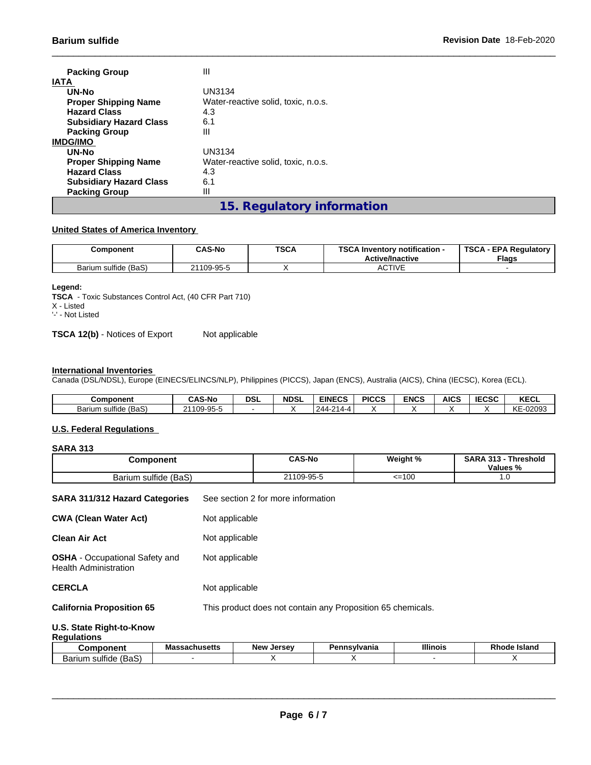| <b>Packing Group</b>           | Ш                                   |
|--------------------------------|-------------------------------------|
| <b>IATA</b>                    |                                     |
| UN-No                          | UN3134                              |
| <b>Proper Shipping Name</b>    | Water-reactive solid, toxic, n.o.s. |
| <b>Hazard Class</b>            | 4.3                                 |
| <b>Subsidiary Hazard Class</b> | 6.1                                 |
| <b>Packing Group</b>           | Ш                                   |
| <b>IMDG/IMO</b>                |                                     |
| UN-No                          | UN3134                              |
| <b>Proper Shipping Name</b>    | Water-reactive solid, toxic, n.o.s. |
| <b>Hazard Class</b>            | 4.3                                 |
| <b>Subsidiary Hazard Class</b> | 6.1                                 |
| <b>Packing Group</b>           | Ш                                   |
|                                | 15. Regulatory information          |

## **United States of America Inventory**

| Component            | <b>CAS-No</b> | <b>TSCA</b> | <b>TOO A</b><br>Inventory notification -<br>コレハ<br><b>Active/Inactive</b> | <b>TSCA</b><br><b>EPA Requiatory</b><br><b>Flags</b> |
|----------------------|---------------|-------------|---------------------------------------------------------------------------|------------------------------------------------------|
| Barium sulfide (BaS) | 21109-95-5    |             | <b>ACTIVE</b>                                                             |                                                      |

#### **Legend:**

**TSCA** - Toxic Substances Control Act, (40 CFR Part 710) X - Listed '-' - Not Listed

**TSCA 12(b)** - Notices of Export Not applicable

## **International Inventories**

Canada (DSL/NDSL), Europe (EINECS/ELINCS/NLP), Philippines (PICCS), Japan (ENCS), Australia (AICS), China (IECSC), Korea (ECL).

| Component                         | <b>CAS-No</b> | <b>DSL</b> | <b>NDSL</b> | <b>EINECS</b>                                     | <b>PICCS</b> | <b>ENCS</b> | <b>AICS</b> | <b>IECSC</b> | <b>KECL</b>                             |
|-----------------------------------|---------------|------------|-------------|---------------------------------------------------|--------------|-------------|-------------|--------------|-----------------------------------------|
| (BaS)<br><b>Barium</b><br>sulfide | 21109-95-5    |            |             | $\sim$<br>244<br>$\overline{\phantom{a}}$<br>14-4 |              |             |             |              | $\sim$<br>00000<br>-uzuy -<br><b>NE</b> |

## **U.S. Federal Regulations**

## **SARA 313**

| <b>Component</b>                                                      |                | <b>CAS-No</b>                                               | Weight % | SARA 313 - Threshold<br>Values % |  |  |
|-----------------------------------------------------------------------|----------------|-------------------------------------------------------------|----------|----------------------------------|--|--|
| Barium sulfide (BaS)                                                  |                | 21109-95-5                                                  | $=100$   | 1.0                              |  |  |
| <b>SARA 311/312 Hazard Categories</b>                                 |                | See section 2 for more information                          |          |                                  |  |  |
| <b>CWA (Clean Water Act)</b>                                          | Not applicable |                                                             |          |                                  |  |  |
| <b>Clean Air Act</b>                                                  | Not applicable |                                                             |          |                                  |  |  |
| <b>OSHA</b> - Occupational Safety and<br><b>Health Administration</b> |                | Not applicable                                              |          |                                  |  |  |
| <b>CERCLA</b>                                                         | Not applicable |                                                             |          |                                  |  |  |
| <b>California Proposition 65</b>                                      |                | This product does not contain any Proposition 65 chemicals. |          |                                  |  |  |
| .                                                                     |                |                                                             |          |                                  |  |  |

#### **U.S. State Right-to-Know Regulations**

| nponent                                                                  | <b>Anucatte</b><br>sacmusens<br>шае | <b>New</b><br>Jersey | 'ennsvlvania<br>⊶∼ | <b>Illinois</b> | <b>Island</b><br>otote<br>кn |
|--------------------------------------------------------------------------|-------------------------------------|----------------------|--------------------|-----------------|------------------------------|
| $\overline{\phantom{0}}$<br>$\cdot$<br>BaS<br>sulfide i<br>arıun<br>ווהנ |                                     |                      |                    |                 |                              |